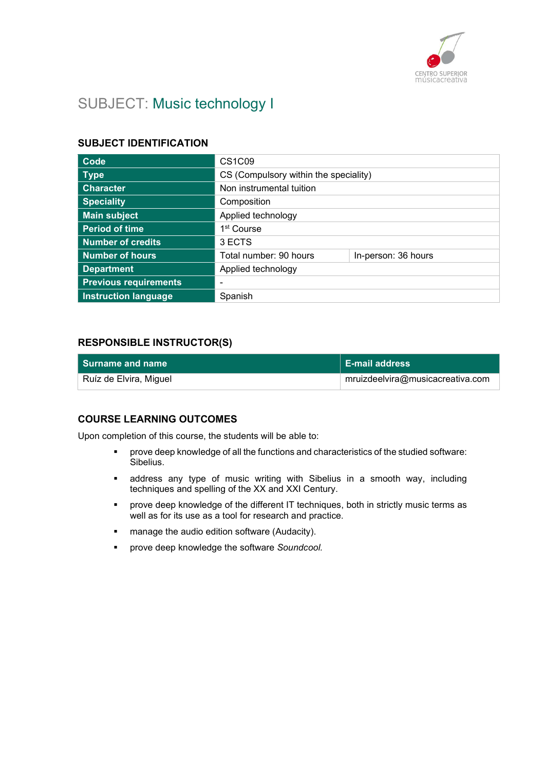

# SUBJECT: Music technology I

### SUBJECT IDENTIFICATION

| Code                         | <b>CS1C09</b>                         |                     |
|------------------------------|---------------------------------------|---------------------|
| <b>Type</b>                  | CS (Compulsory within the speciality) |                     |
| <b>Character</b>             | Non instrumental tuition              |                     |
| <b>Speciality</b>            | Composition                           |                     |
| <b>Main subject</b>          | Applied technology                    |                     |
| <b>Period of time</b>        | 1 <sup>st</sup> Course                |                     |
| <b>Number of credits</b>     | 3 ECTS                                |                     |
| <b>Number of hours</b>       | Total number: 90 hours                | In-person: 36 hours |
| <b>Department</b>            | Applied technology                    |                     |
| <b>Previous requirements</b> | -                                     |                     |
| <b>Instruction language</b>  | Spanish                               |                     |

### RESPONSIBLE INSTRUCTOR(S)

| Surname and name       | E-mail address                   |
|------------------------|----------------------------------|
| Ruíz de Elvira, Miguel | mruizdeelvira@musicacreativa.com |

### COURSE LEARNING OUTCOMES

Upon completion of this course, the students will be able to:

- prove deep knowledge of all the functions and characteristics of the studied software: Sibelius.
- address any type of music writing with Sibelius in a smooth way, including techniques and spelling of the XX and XXI Century.
- prove deep knowledge of the different IT techniques, both in strictly music terms as well as for its use as a tool for research and practice.
- **EXECT** manage the audio edition software (Audacity).
- **•** prove deep knowledge the software Soundcool.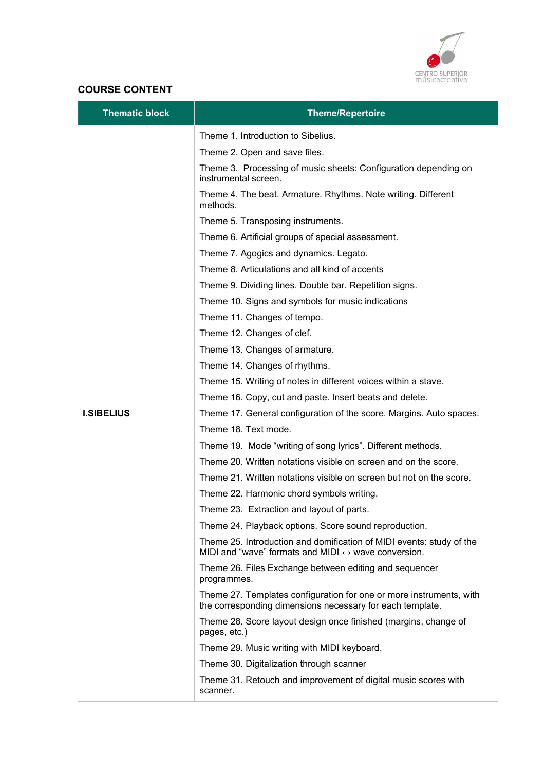

### COURSE CONTENT

| <b>Thematic block</b> | <b>Theme/Repertoire</b>                                                                                                                     |
|-----------------------|---------------------------------------------------------------------------------------------------------------------------------------------|
|                       | Theme 1. Introduction to Sibelius.                                                                                                          |
|                       | Theme 2. Open and save files.                                                                                                               |
|                       | Theme 3. Processing of music sheets: Configuration depending on<br>instrumental screen.                                                     |
|                       | Theme 4. The beat. Armature. Rhythms. Note writing. Different<br>methods.                                                                   |
|                       | Theme 5. Transposing instruments.                                                                                                           |
|                       | Theme 6. Artificial groups of special assessment.                                                                                           |
|                       | Theme 7. Agogics and dynamics. Legato.                                                                                                      |
|                       | Theme 8. Articulations and all kind of accents                                                                                              |
|                       | Theme 9. Dividing lines. Double bar. Repetition signs.                                                                                      |
|                       | Theme 10. Signs and symbols for music indications                                                                                           |
|                       | Theme 11. Changes of tempo.                                                                                                                 |
|                       | Theme 12. Changes of clef.                                                                                                                  |
|                       | Theme 13. Changes of armature.                                                                                                              |
|                       | Theme 14. Changes of rhythms.                                                                                                               |
|                       | Theme 15. Writing of notes in different voices within a stave.                                                                              |
|                       | Theme 16. Copy, cut and paste. Insert beats and delete.                                                                                     |
| <b>I.SIBELIUS</b>     | Theme 17. General configuration of the score. Margins. Auto spaces.                                                                         |
|                       | Theme 18. Text mode.                                                                                                                        |
|                       | Theme 19. Mode "writing of song lyrics". Different methods.                                                                                 |
|                       | Theme 20. Written notations visible on screen and on the score.                                                                             |
|                       | Theme 21. Written notations visible on screen but not on the score.                                                                         |
|                       | Theme 22. Harmonic chord symbols writing.                                                                                                   |
|                       | Theme 23. Extraction and layout of parts.                                                                                                   |
|                       | Theme 24. Playback options. Score sound reproduction.                                                                                       |
|                       | Theme 25. Introduction and domification of MIDI events: study of the<br>MIDI and "wave" formats and MIDI $\leftrightarrow$ wave conversion. |
|                       | Theme 26. Files Exchange between editing and sequencer<br>programmes.                                                                       |
|                       | Theme 27. Templates configuration for one or more instruments, with<br>the corresponding dimensions necessary for each template.            |
|                       | Theme 28. Score layout design once finished (margins, change of<br>pages, etc.)                                                             |
|                       | Theme 29. Music writing with MIDI keyboard.                                                                                                 |
|                       | Theme 30. Digitalization through scanner                                                                                                    |
|                       | Theme 31. Retouch and improvement of digital music scores with<br>scanner.                                                                  |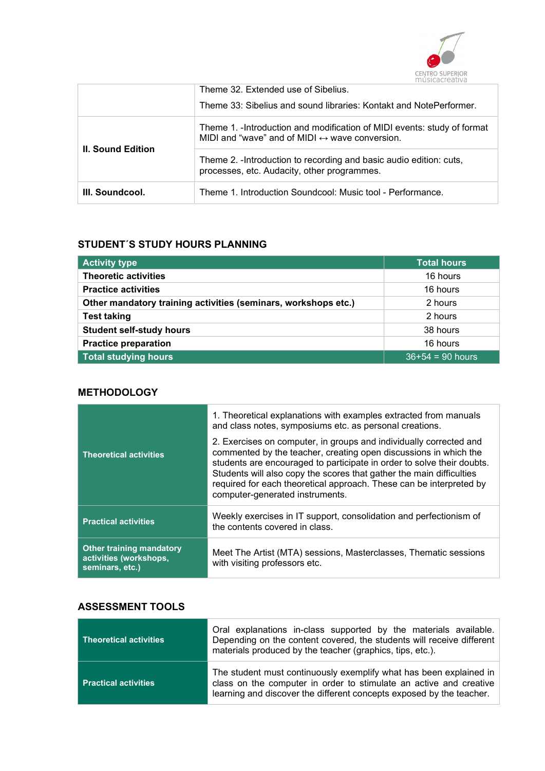

|                          | Theme 32. Extended use of Sibelius.<br>Theme 33: Sibelius and sound libraries: Kontakt and NotePerformer.                                  |
|--------------------------|--------------------------------------------------------------------------------------------------------------------------------------------|
|                          | Theme 1. - Introduction and modification of MIDI events: study of format<br>MIDI and "wave" and of MIDI $\leftrightarrow$ wave conversion. |
| <b>II. Sound Edition</b> | Theme 2. - Introduction to recording and basic audio edition: cuts,<br>processes, etc. Audacity, other programmes.                         |
| III. Soundcool.          | Theme 1. Introduction Soundcool: Music tool - Performance.                                                                                 |

### STUDENT´S STUDY HOURS PLANNING

| <b>Activity type</b>                                           | <b>Total hours</b> |
|----------------------------------------------------------------|--------------------|
| <b>Theoretic activities</b>                                    | 16 hours           |
| <b>Practice activities</b>                                     | 16 hours           |
| Other mandatory training activities (seminars, workshops etc.) | 2 hours            |
| <b>Test taking</b>                                             | 2 hours            |
| <b>Student self-study hours</b>                                | 38 hours           |
| <b>Practice preparation</b>                                    | 16 hours           |
| Total studying hours                                           | $36+54 = 90$ hours |

### **METHODOLOGY**

| <b>Theoretical activities</b>                                                | 1. Theoretical explanations with examples extracted from manuals<br>and class notes, symposiums etc. as personal creations.<br>2. Exercises on computer, in groups and individually corrected and<br>commented by the teacher, creating open discussions in which the<br>students are encouraged to participate in order to solve their doubts.<br>Students will also copy the scores that gather the main difficulties<br>required for each theoretical approach. These can be interpreted by<br>computer-generated instruments. |
|------------------------------------------------------------------------------|-----------------------------------------------------------------------------------------------------------------------------------------------------------------------------------------------------------------------------------------------------------------------------------------------------------------------------------------------------------------------------------------------------------------------------------------------------------------------------------------------------------------------------------|
| <b>Practical activities</b>                                                  | Weekly exercises in IT support, consolidation and perfectionism of<br>the contents covered in class.                                                                                                                                                                                                                                                                                                                                                                                                                              |
| <b>Other training mandatory</b><br>activities (workshops,<br>seminars, etc.) | Meet The Artist (MTA) sessions, Masterclasses, Thematic sessions<br>with visiting professors etc.                                                                                                                                                                                                                                                                                                                                                                                                                                 |

### ASSESSMENT TOOLS

| Theoretical activities      | Oral explanations in-class supported by the materials available.<br>Depending on the content covered, the students will receive different<br>materials produced by the teacher (graphics, tips, etc.).           |
|-----------------------------|------------------------------------------------------------------------------------------------------------------------------------------------------------------------------------------------------------------|
| <b>Practical activities</b> | The student must continuously exemplify what has been explained in<br>class on the computer in order to stimulate an active and creative<br>learning and discover the different concepts exposed by the teacher. |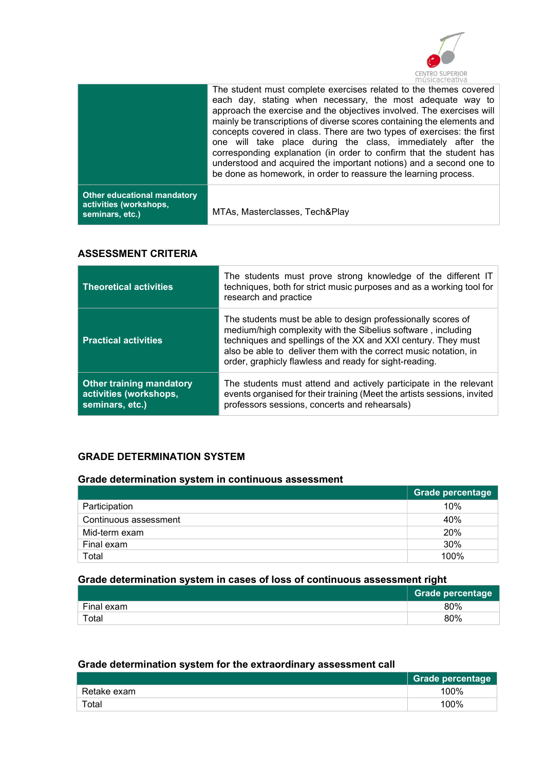

|                                                                          | The student must complete exercises related to the themes covered<br>each day, stating when necessary, the most adequate way to<br>approach the exercise and the objectives involved. The exercises will<br>mainly be transcriptions of diverse scores containing the elements and<br>concepts covered in class. There are two types of exercises: the first<br>one will take place during the class, immediately after the<br>corresponding explanation (in order to confirm that the student has<br>understood and acquired the important notions) and a second one to<br>be done as homework, in order to reassure the learning process. |
|--------------------------------------------------------------------------|---------------------------------------------------------------------------------------------------------------------------------------------------------------------------------------------------------------------------------------------------------------------------------------------------------------------------------------------------------------------------------------------------------------------------------------------------------------------------------------------------------------------------------------------------------------------------------------------------------------------------------------------|
| Other educational mandatory<br>activities (workshops,<br>seminars, etc.) | MTAs, Masterclasses, Tech&Play                                                                                                                                                                                                                                                                                                                                                                                                                                                                                                                                                                                                              |

### ASSESSMENT CRITERIA

| <b>Theoretical activities</b>                                                | The students must prove strong knowledge of the different IT<br>techniques, both for strict music purposes and as a working tool for<br>research and practice                                                                                                                                                               |
|------------------------------------------------------------------------------|-----------------------------------------------------------------------------------------------------------------------------------------------------------------------------------------------------------------------------------------------------------------------------------------------------------------------------|
| <b>Practical activities</b>                                                  | The students must be able to design professionally scores of<br>medium/high complexity with the Sibelius software, including<br>techniques and spellings of the XX and XXI century. They must<br>also be able to deliver them with the correct music notation, in<br>order, graphicly flawless and ready for sight-reading. |
| <b>Other training mandatory</b><br>activities (workshops,<br>seminars, etc.) | The students must attend and actively participate in the relevant<br>events organised for their training (Meet the artists sessions, invited<br>professors sessions, concerts and rehearsals)                                                                                                                               |

### GRADE DETERMINATION SYSTEM

#### Grade determination system in continuous assessment

|                       | Grade percentage |
|-----------------------|------------------|
| Participation         | 10%              |
| Continuous assessment | 40%              |
| Mid-term exam         | 20%              |
| Final exam            | 30%              |
| Total                 | 100%             |

## Grade determination system in cases of loss of continuous assessment right

|            | <b>Grade percentage</b> |
|------------|-------------------------|
| Final exam | 80%                     |
| Total      | 80%                     |

### Grade determination system for the extraordinary assessment call

|             | Grade percentage |
|-------------|------------------|
| Retake exam | 100%             |
| Total       | 100%             |